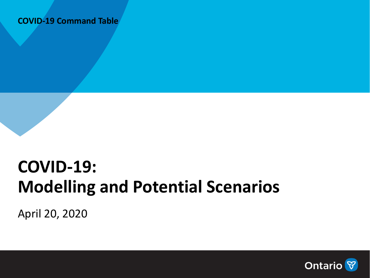#### **COVID-19 Command Table**

## **COVID-19: Modelling and Potential Scenarios**

April 20, 2020

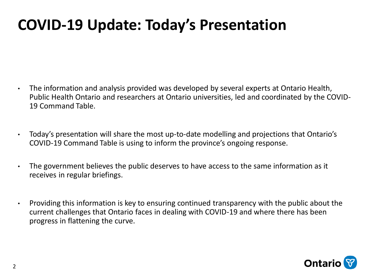### **COVID-19 Update: Today's Presentation**

- The information and analysis provided was developed by several experts at Ontario Health, Public Health Ontario and researchers at Ontario universities, led and coordinated by the COVID-19 Command Table.
- Today's presentation will share the most up-to-date modelling and projections that Ontario's COVID-19 Command Table is using to inform the province's ongoing response.
- The government believes the public deserves to have access to the same information as it receives in regular briefings.
- Providing this information is key to ensuring continued transparency with the public about the current challenges that Ontario faces in dealing with COVID-19 and where there has been progress in flattening the curve.

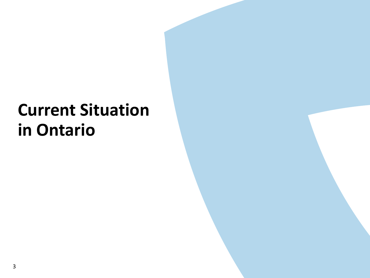# **Current Situation in Ontario**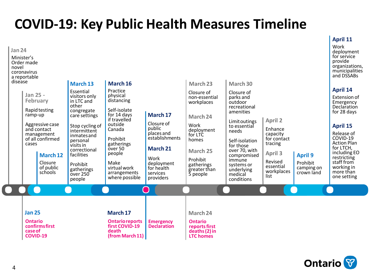### **COVID-19: Key Public Health Measures Timeline**





**April 11**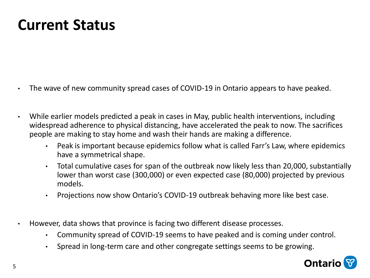### **Current Status**

- The wave of new community spread cases of COVID-19 in Ontario appears to have peaked.
- While earlier models predicted a peak in cases in May, public health interventions, including widespread adherence to physical distancing, have accelerated the peak to now. The sacrifices people are making to stay home and wash their hands are making a difference.
	- Peak is important because epidemics follow what is called Farr's Law, where epidemics have a symmetrical shape.
	- Total cumulative cases for span of the outbreak now likely less than 20,000, substantially lower than worst case (300,000) or even expected case (80,000) projected by previous models.
	- Projections now show Ontario's COVID-19 outbreak behaving more like best case.
- However, data shows that province is facing two different disease processes.
	- Community spread of COVID-19 seems to have peaked and is coming under control.
	- Spread in long-term care and other congregate settings seems to be growing.

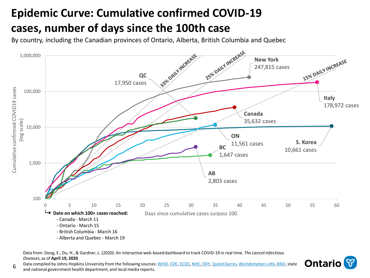### **Epidemic Curve: Cumulative confirmed COVID-19 cases, number of days since the 100th case**

By country, including the Canadian provinces of Ontario, Alberta, British Columbia and Quebec



Data from: Dong, E., Du, H., & Gardner, L. (2020). An interactive web-based dashboard to track COVID-19 in real time. *The Lancet Infectious Diseases*, as of **April 19, 2020**. ------- - ----------

Data compiled by Johns Hopkins University from the following sources: WHO, CDC, ECDC, NHC, DXY, 1point3acres, Worldometers.info, BNO, state **Ontario**

and national government health department, and local media reports.

6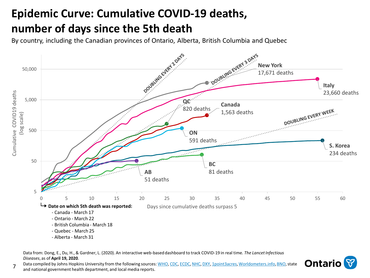### **Epidemic Curve: Cumulative COVID-19 deaths, number of days since the 5th death**

By country, including the Canadian provinces of Ontario, Alberta, British Columbia and Quebec



Data from: Dong, E., Du, H., & Gardner, L. (2020). An interactive web-based dashboard to track COVID-19 in real time. *The Lancet Infectious Diseases*, as of **April 19, 2020**. Sed dashboard to track COVID-19 in real time. *The Lancet Infectious*<br>WHO, CDC, ECDC, NHC, DXY, 1point3acres, Worldometers.info, BNO, state **Ontario** 

Data compiled by Johns Hopkins University from the following sources: WHO, CDC, ECDC, NHC, DXY, 1point3acres, Worldometers.info, BNO, state

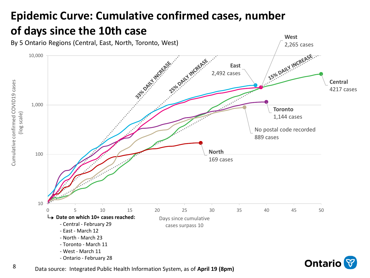### **Epidemic Curve: Cumulative confirmed cases, number of days since the 10th case**



Data source: Integrated Public Health Information System, as of **April 19 (8pm)**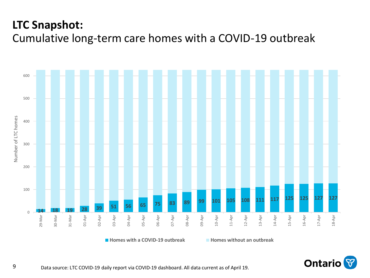### **LTC Snapshot:**

Cumulative long-term care homes with a COVID-19 outbreak



**Homes with a COVID-19 outbreak Homes without an outbreak**

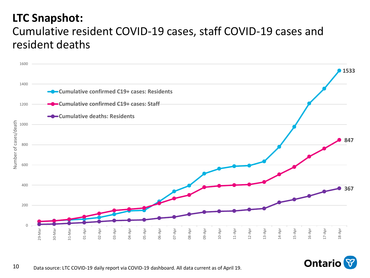#### **LTC Snapshot:**

### Cumulative resident COVID-19 cases, staff COVID-19 cases and resident deaths



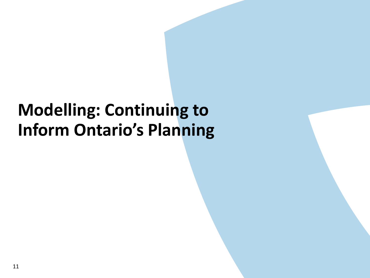## **Modelling: Continuing to Inform Ontario's Planning**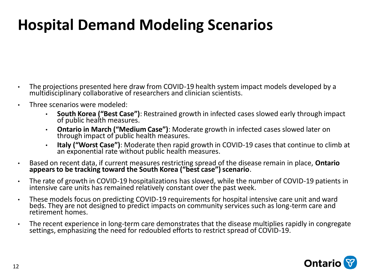## **Hospital Demand Modeling Scenarios**

- The projections presented here draw from COVID-19 health system impact models developed by a multidisciplinary collaborative of researchers and clinician scientists.
- Three scenarios were modeled:
	- **South Korea ("Best Case")**: Restrained growth in infected cases slowed early through impact of public health measures.
	- **Ontario in March ("Medium Case")**: Moderate growth in infected cases slowed later on through impact of public health measures.
	- **Italy ("Worst Case")**: Moderate then rapid growth in COVID-19 cases that continue to climb at an exponential rate without public health measures.
- Based on recent data, if current measures restricting spread of the disease remain in place, **Ontario appears to be tracking toward the South Korea ("best case") scenario**.
- The rate of growth in COVID-19 hospitalizations has slowed, while the number of COVID-19 patients in intensive care units has remained relatively constant over the past week.
- These models focus on predicting COVID-19 requirements for hospital intensive care unit and ward beds. They are not designed to predict impacts on community services such as long-term care and retirement homes.
- The recent experience in long-term care demonstrates that the disease multiplies rapidly in congregate settings, emphasizing the need for redoubled efforts to restrict spread of COVID-19.

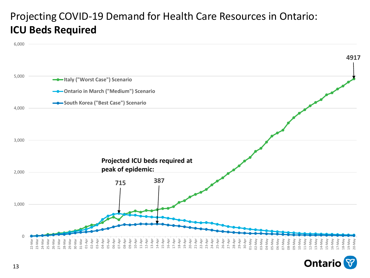#### Projecting COVID-19 Demand for Health Care Resources in Ontario: **ICU Beds Required**



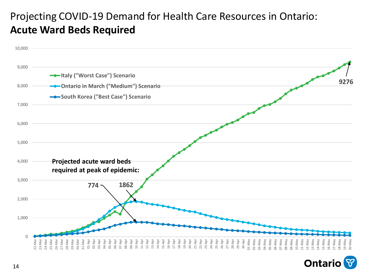#### Projecting COVID-19 Demand for Health Care Resources in Ontario: **Acute Ward Beds Required**



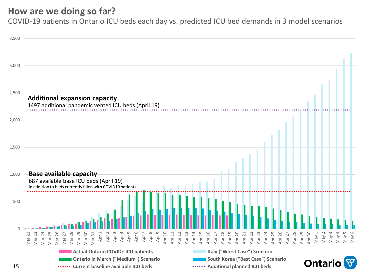#### **How are we doing so far?**

COVID-19 patients in Ontario ICU beds each day vs. predicted ICU bed demands in 3 model scenarios

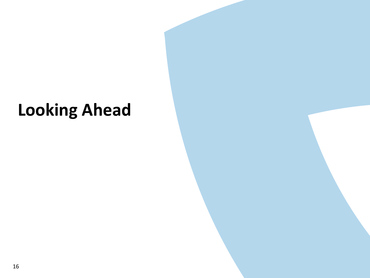# **Looking Ahead**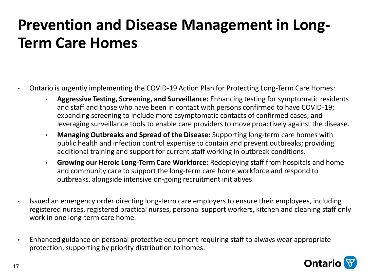## **Prevention and Disease Management in Long-Term Care Homes**

- Ontario is urgently implementing the COVID-19 Action Plan for Protecting Long-Term Care Homes:
	- **Aggressive Testing, Screening, and Surveillance:** Enhancing testing for symptomatic residents and staff and those who have been in contact with persons confirmed to have COVID-19; expanding screening to include more asymptomatic contacts of confirmed cases; and leveraging surveillance tools to enable care providers to move proactively against the disease.
	- **Managing Outbreaks and Spread of the Disease:** Supporting long-term care homes with public health and infection control expertise to contain and prevent outbreaks; providing additional training and support for current staff working in outbreak conditions.
	- **Growing our Heroic Long-Term Care Workforce:** Redeploying staff from hospitals and home and community care to support the long-term care home workforce and respond to outbreaks, alongside intensive on-going recruitment initiatives.
- Issued an emergency order directing long-term care employers to ensure their employees, including registered nurses, registered practical nurses, personal support workers, kitchen and cleaning staff only work in one long-term care home.
- Enhanced guidance on personal protective equipment requiring staff to always wear appropriate protection, supporting by priority distribution to homes.